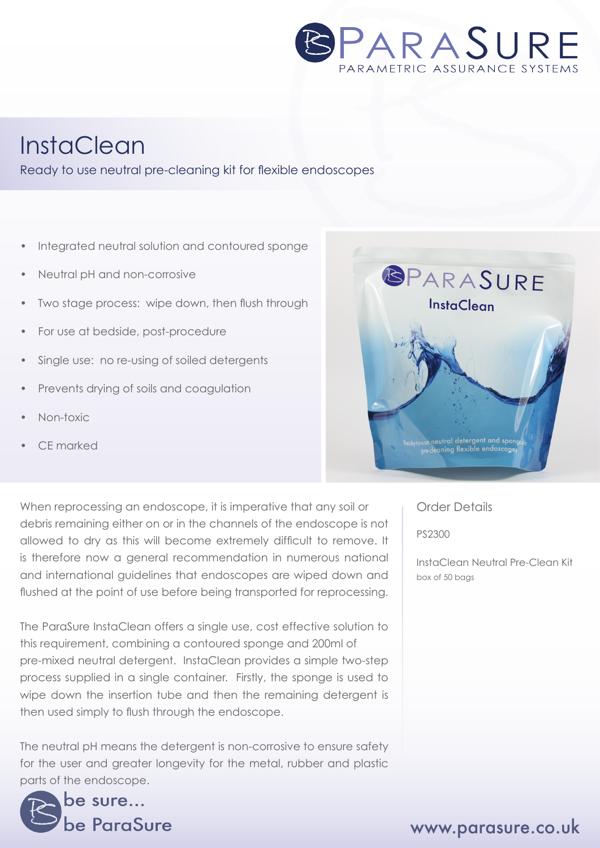

# **InstaClean**

#### Ready to use neutral pre-cleaning kit for flexible endoscopes

- Integrated neutral solution and contoured sponge
- Neutral pH and non-corrosive
- Two stage process: wipe down, then flush through
- For use at bedside, post-procedure
- Single use: no re-using of soiled detergents
- Prevents drying of soils and coagulation
- Non-toxic
- CE marked



When reprocessing an endoscope, it is imperative that any soil or debris remaining either on or in the channels of the endoscope is not allowed to dry as this will become extremely difficult to remove. It is therefore now a general recommendation in numerous national and international guidelines that endoscopes are wiped down and flushed at the point of use before being transported for reprocessing.

The ParaSure InstaClean offers a single use, cost effective solution to this requirement, combining a contoured sponge and 200ml of pre-mixed neutral detergent. InstaClean provides a simple two-step process supplied in a single container. Firstly, the sponge is used to wipe down the insertion tube and then the remaining detergent is then used simply to flush through the endoscope.

The neutral pH means the detergent is non-corrosive to ensure safety for the user and greater longevity for the metal, rubber and plastic parts of the endoscope.



Order Details

PS2300

InstaClean Neutral Pre-Clean Kit box of 50 bags